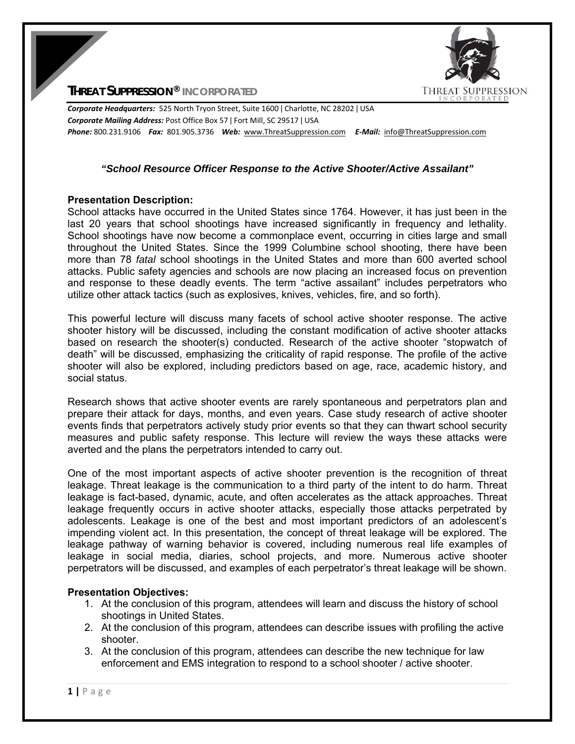**THREAT SUPPRESSION** 

**THREAT SUPPRESSION® INCORPORATED**

*Corporate Headquarters:* 525 North Tryon Street, Suite 1600 ǀ Charlotte, NC 28202 ǀ USA *Corporate Mailing Address:* Post Office Box 57 ǀ Fort Mill, SC 29517 ǀ USA *Phone:* 800.231.9106  *Fax:* 801.905.3736 *Web:* www.ThreatSuppression.com *E‐Mail:*  info@ThreatSuppression.com

#### *"School Resource Officer Response to the Active Shooter/Active Assailant"*

#### **Presentation Description:**

School attacks have occurred in the United States since 1764. However, it has just been in the last 20 years that school shootings have increased significantly in frequency and lethality. School shootings have now become a commonplace event, occurring in cities large and small throughout the United States. Since the 1999 Columbine school shooting, there have been more than 78 *fatal* school shootings in the United States and more than 600 averted school attacks. Public safety agencies and schools are now placing an increased focus on prevention and response to these deadly events. The term "active assailant" includes perpetrators who utilize other attack tactics (such as explosives, knives, vehicles, fire, and so forth).

This powerful lecture will discuss many facets of school active shooter response. The active shooter history will be discussed, including the constant modification of active shooter attacks based on research the shooter(s) conducted. Research of the active shooter "stopwatch of death" will be discussed, emphasizing the criticality of rapid response. The profile of the active shooter will also be explored, including predictors based on age, race, academic history, and social status.

Research shows that active shooter events are rarely spontaneous and perpetrators plan and prepare their attack for days, months, and even years. Case study research of active shooter events finds that perpetrators actively study prior events so that they can thwart school security measures and public safety response. This lecture will review the ways these attacks were averted and the plans the perpetrators intended to carry out.

One of the most important aspects of active shooter prevention is the recognition of threat leakage. Threat leakage is the communication to a third party of the intent to do harm. Threat leakage is fact-based, dynamic, acute, and often accelerates as the attack approaches. Threat leakage frequently occurs in active shooter attacks, especially those attacks perpetrated by adolescents. Leakage is one of the best and most important predictors of an adolescent's impending violent act. In this presentation, the concept of threat leakage will be explored. The leakage pathway of warning behavior is covered, including numerous real life examples of leakage in social media, diaries, school projects, and more. Numerous active shooter perpetrators will be discussed, and examples of each perpetrator's threat leakage will be shown.

## **Presentation Objectives:**

- 1. At the conclusion of this program, attendees will learn and discuss the history of school shootings in United States.
- 2. At the conclusion of this program, attendees can describe issues with profiling the active shooter.
- 3. At the conclusion of this program, attendees can describe the new technique for law enforcement and EMS integration to respond to a school shooter / active shooter.